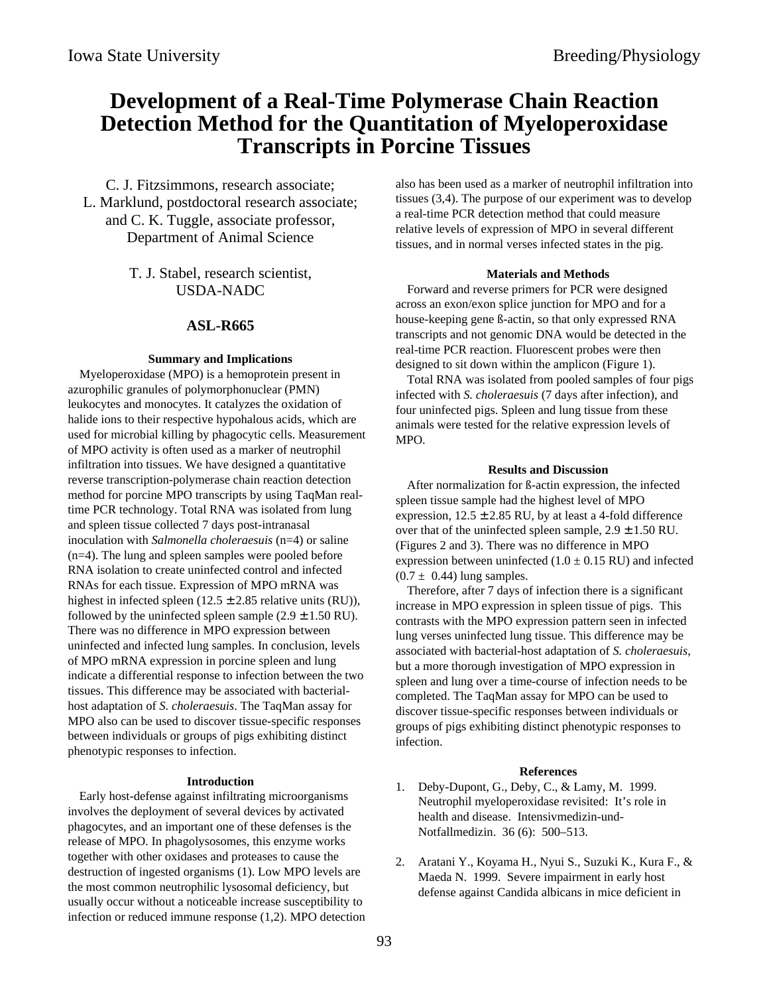# **Development of a Real-Time Polymerase Chain Reaction Detection Method for the Quantitation of Myeloperoxidase Transcripts in Porcine Tissues**

C. J. Fitzsimmons, research associate; L. Marklund, postdoctoral research associate; and C. K. Tuggle, associate professor, Department of Animal Science

> T. J. Stabel, research scientist, USDA-NADC

## **ASL-R665**

### **Summary and Implications**

Myeloperoxidase (MPO) is a hemoprotein present in azurophilic granules of polymorphonuclear (PMN) leukocytes and monocytes. It catalyzes the oxidation of halide ions to their respective hypohalous acids, which are used for microbial killing by phagocytic cells. Measurement of MPO activity is often used as a marker of neutrophil infiltration into tissues. We have designed a quantitative reverse transcription-polymerase chain reaction detection method for porcine MPO transcripts by using TaqMan realtime PCR technology. Total RNA was isolated from lung and spleen tissue collected 7 days post-intranasal inoculation with *Salmonella choleraesuis* (n=4) or saline (n=4). The lung and spleen samples were pooled before RNA isolation to create uninfected control and infected RNAs for each tissue. Expression of MPO mRNA was highest in infected spleen (12.5  $\pm$  2.85 relative units (RU)), followed by the uninfected spleen sample  $(2.9 \pm 1.50 \text{ RU})$ . There was no difference in MPO expression between uninfected and infected lung samples. In conclusion, levels of MPO mRNA expression in porcine spleen and lung indicate a differential response to infection between the two tissues. This difference may be associated with bacterialhost adaptation of *S. choleraesuis*. The TaqMan assay for MPO also can be used to discover tissue-specific responses between individuals or groups of pigs exhibiting distinct phenotypic responses to infection.

#### **Introduction**

Early host-defense against infiltrating microorganisms involves the deployment of several devices by activated phagocytes, and an important one of these defenses is the release of MPO. In phagolysosomes, this enzyme works together with other oxidases and proteases to cause the destruction of ingested organisms (1). Low MPO levels are the most common neutrophilic lysosomal deficiency, but usually occur without a noticeable increase susceptibility to infection or reduced immune response (1,2). MPO detection also has been used as a marker of neutrophil infiltration into tissues (3,4). The purpose of our experiment was to develop a real-time PCR detection method that could measure relative levels of expression of MPO in several different tissues, and in normal verses infected states in the pig.

#### **Materials and Methods**

Forward and reverse primers for PCR were designed across an exon/exon splice junction for MPO and for a house-keeping gene ß-actin, so that only expressed RNA transcripts and not genomic DNA would be detected in the real-time PCR reaction. Fluorescent probes were then designed to sit down within the amplicon (Figure 1).

Total RNA was isolated from pooled samples of four pigs infected with *S. choleraesuis* (7 days after infection), and four uninfected pigs. Spleen and lung tissue from these animals were tested for the relative expression levels of MPO.

#### **Results and Discussion**

After normalization for ß-actin expression, the infected spleen tissue sample had the highest level of MPO expression,  $12.5 \pm 2.85$  RU, by at least a 4-fold difference over that of the uninfected spleen sample,  $2.9 \pm 1.50$  RU. (Figures 2 and 3). There was no difference in MPO expression between uninfected  $(1.0 \pm 0.15 \text{ RU})$  and infected  $(0.7 \pm 0.44)$  lung samples.

Therefore, after 7 days of infection there is a significant increase in MPO expression in spleen tissue of pigs. This contrasts with the MPO expression pattern seen in infected lung verses uninfected lung tissue. This difference may be associated with bacterial-host adaptation of *S. choleraesuis*, but a more thorough investigation of MPO expression in spleen and lung over a time-course of infection needs to be completed. The TaqMan assay for MPO can be used to discover tissue-specific responses between individuals or groups of pigs exhibiting distinct phenotypic responses to infection.

#### **References**

- 1. Deby-Dupont, G., Deby, C., & Lamy, M. 1999. Neutrophil myeloperoxidase revisited: It's role in health and disease. Intensivmedizin-und-Notfallmedizin. 36 (6): 500–513.
- 2. Aratani Y., Koyama H., Nyui S., Suzuki K., Kura F., & Maeda N. 1999. Severe impairment in early host defense against Candida albicans in mice deficient in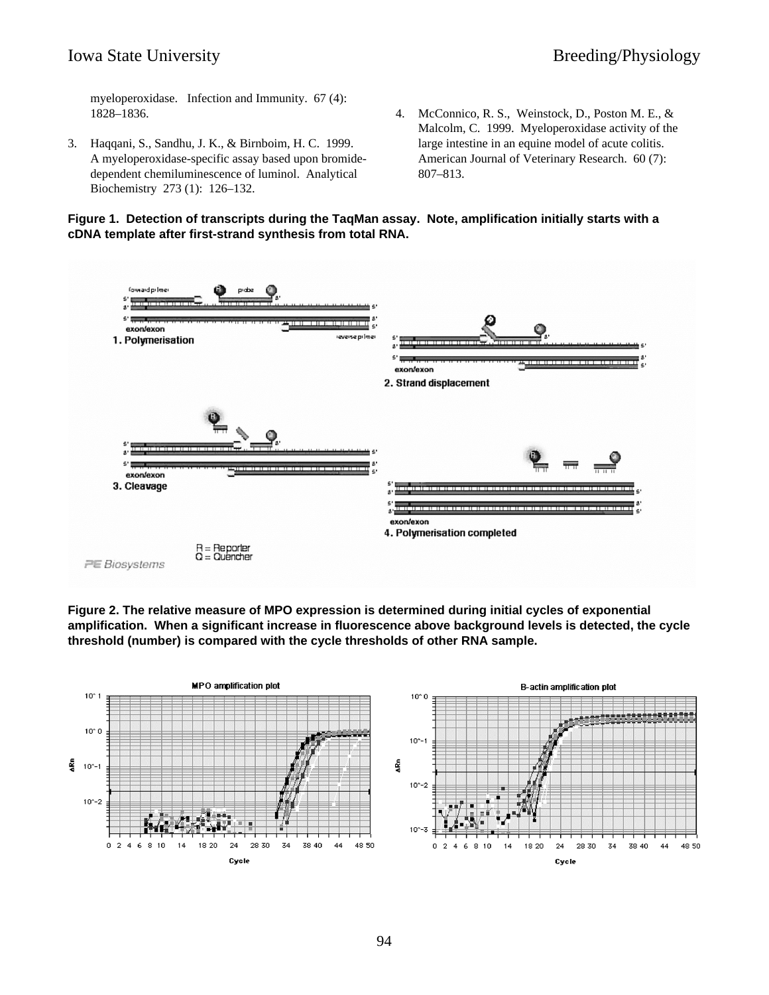myeloperoxidase. Infection and Immunity. 67 (4): 1828–1836.

- 3. Haqqani, S., Sandhu, J. K., & Birnboim, H. C. 1999. A myeloperoxidase-specific assay based upon bromidedependent chemiluminescence of luminol. Analytical Biochemistry 273 (1): 126–132.
- 4. McConnico, R. S., Weinstock, D., Poston M. E., & Malcolm, C. 1999. Myeloperoxidase activity of the large intestine in an equine model of acute colitis. American Journal of Veterinary Research. 60 (7): 807–813.





**Figure 2. The relative measure of MPO expression is determined during initial cycles of exponential amplification. When a significant increase in fluorescence above background levels is detected, the cycle threshold (number) is compared with the cycle thresholds of other RNA sample.**